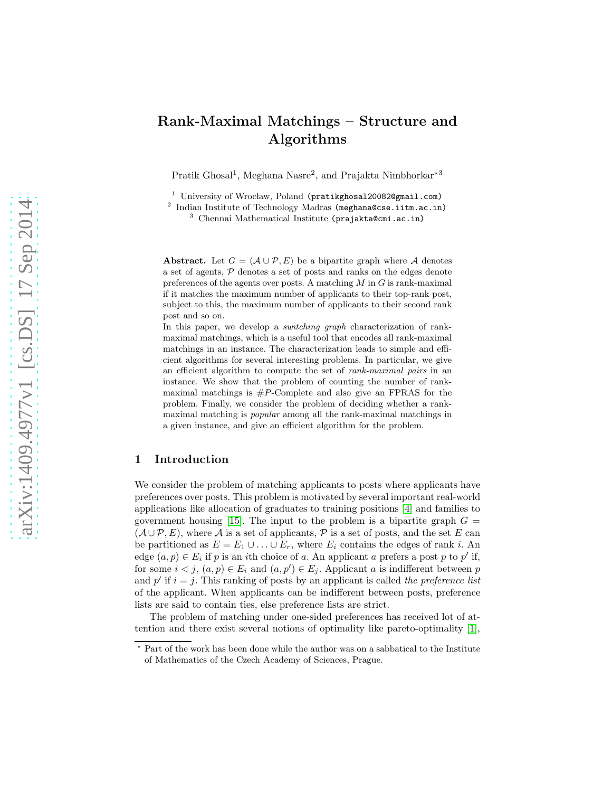# Rank-Maximal Matchings – Structure and Algorithms

Pratik Ghosal<sup>1</sup>, Meghana Nasre<sup>2</sup>, and Prajakta Nimbhorkar<sup>\*3</sup>

<sup>1</sup> University of Wrocław, Poland ( $pratikghosal20082$ @gmail.com)

2 Indian Institute of Technology Madras (meghana@cse.iitm.ac.in)

<sup>3</sup> Chennai Mathematical Institute (prajakta@cmi.ac.in)

**Abstract.** Let  $G = (\mathcal{A} \cup \mathcal{P}, E)$  be a bipartite graph where A denotes a set of agents,  $\mathcal P$  denotes a set of posts and ranks on the edges denote preferences of the agents over posts. A matching  $M$  in  $G$  is rank-maximal if it matches the maximum number of applicants to their top-rank post, subject to this, the maximum number of applicants to their second rank post and so on.

In this paper, we develop a *switching graph* characterization of rankmaximal matchings, which is a useful tool that encodes all rank-maximal matchings in an instance. The characterization leads to simple and efficient algorithms for several interesting problems. In particular, we give an efficient algorithm to compute the set of rank-maximal pairs in an instance. We show that the problem of counting the number of rankmaximal matchings is  $#P$ -Complete and also give an FPRAS for the problem. Finally, we consider the problem of deciding whether a rankmaximal matching is popular among all the rank-maximal matchings in a given instance, and give an efficient algorithm for the problem.

# 1 Introduction

We consider the problem of matching applicants to posts where applicants have preferences over posts. This problem is motivated by several important real-world applications like allocation of graduates to training positions [\[4\]](#page-10-0) and families to government housing [\[15\]](#page-11-0). The input to the problem is a bipartite graph  $G =$  $(A \cup P, E)$ , where A is a set of applicants, P is a set of posts, and the set E can be partitioned as  $E = E_1 \cup ... \cup E_r$ , where  $E_i$  contains the edges of rank i. An edge  $(a, p) \in E_i$  if p is an ith choice of a. An applicant a prefers a post p to p' if, for some  $i < j$ ,  $(a, p) \in E_i$  and  $(a, p') \in E_j$ . Applicant a is indifferent between p and  $p'$  if  $i = j$ . This ranking of posts by an applicant is called the preference list of the applicant. When applicants can be indifferent between posts, preference lists are said to contain ties, else preference lists are strict.

The problem of matching under one-sided preferences has received lot of attention and there exist several notions of optimality like pareto-optimality [\[1\]](#page-10-1),

 $*$  Part of the work has been done while the author was on a sabbatical to the Institute of Mathematics of the Czech Academy of Sciences, Prague.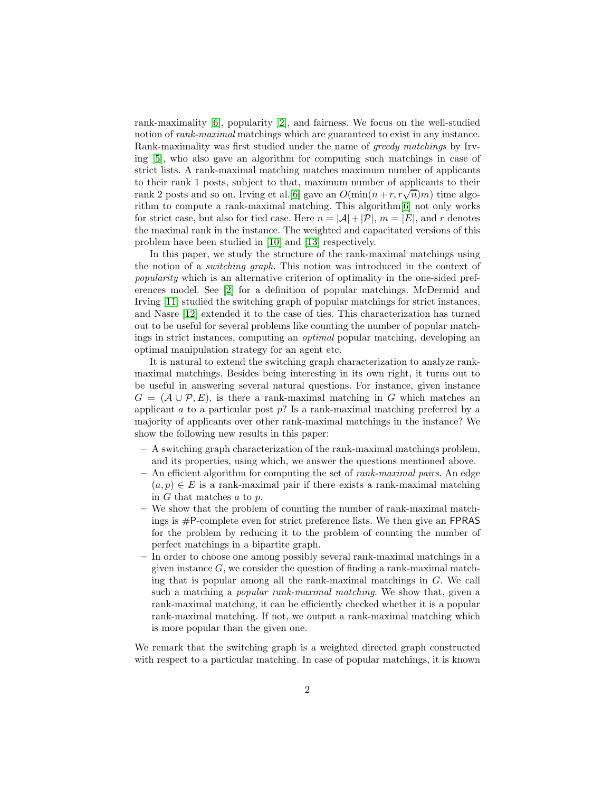rank-maximality [\[6\]](#page-10-2), popularity [\[2\]](#page-10-3), and fairness. We focus on the well-studied notion of *rank-maximal* matchings which are guaranteed to exist in any instance. Rank-maximality was first studied under the name of greedy matchings by Irving [\[5\]](#page-10-4), who also gave an algorithm for computing such matchings in case of strict lists. A rank-maximal matching matches maximum number of applicants to their rank 1 posts, subject to that, maximum number of applicants to their rank 2 posts and so on. Irving et al. [\[6\]](#page-10-2) gave an  $O(\min(n + r, r\sqrt{n})m)$  time algorithm to compute a rank-maximal matching. This algorithm[\[6\]](#page-10-2) not only works for strict case, but also for tied case. Here  $n = |\mathcal{A}| + |\mathcal{P}|$ ,  $m = |E|$ , and r denotes the maximal rank in the instance. The weighted and capacitated versions of this problem have been studied in [\[10\]](#page-10-5) and [\[13\]](#page-11-1) respectively.

In this paper, we study the structure of the rank-maximal matchings using the notion of a switching graph. This notion was introduced in the context of popularity which is an alternative criterion of optimality in the one-sided preferences model. See [\[2\]](#page-10-3) for a definition of popular matchings. McDermid and Irving [\[11\]](#page-10-6) studied the switching graph of popular matchings for strict instances, and Nasre [\[12\]](#page-11-2) extended it to the case of ties. This characterization has turned out to be useful for several problems like counting the number of popular matchings in strict instances, computing an optimal popular matching, developing an optimal manipulation strategy for an agent etc.

It is natural to extend the switching graph characterization to analyze rankmaximal matchings. Besides being interesting in its own right, it turns out to be useful in answering several natural questions. For instance, given instance  $G = (\mathcal{A} \cup \mathcal{P}, E)$ , is there a rank-maximal matching in G which matches an applicant  $\alpha$  to a particular post  $p$ ? Is a rank-maximal matching preferred by a majority of applicants over other rank-maximal matchings in the instance? We show the following new results in this paper:

- A switching graph characterization of the rank-maximal matchings problem, and its properties, using which, we answer the questions mentioned above.
- An efficient algorithm for computing the set of rank-maximal pairs. An edge  $(a, p) \in E$  is a rank-maximal pair if there exists a rank-maximal matching in G that matches a to p.
- We show that the problem of counting the number of rank-maximal matchings is #P-complete even for strict preference lists. We then give an FPRAS for the problem by reducing it to the problem of counting the number of perfect matchings in a bipartite graph.
- In order to choose one among possibly several rank-maximal matchings in a given instance  $G$ , we consider the question of finding a rank-maximal matching that is popular among all the rank-maximal matchings in  $G$ . We call such a matching a *popular rank-maximal matching*. We show that, given a rank-maximal matching, it can be efficiently checked whether it is a popular rank-maximal matching. If not, we output a rank-maximal matching which is more popular than the given one.

We remark that the switching graph is a weighted directed graph constructed with respect to a particular matching. In case of popular matchings, it is known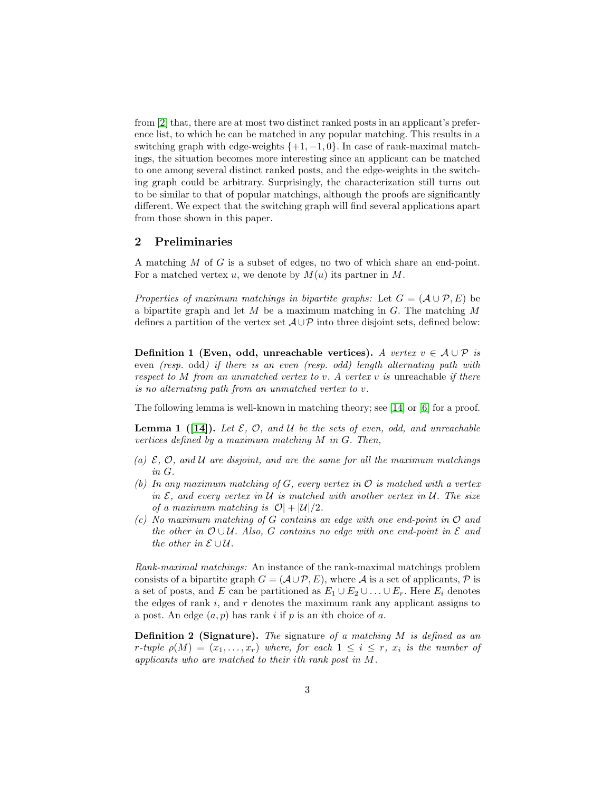from [\[2\]](#page-10-3) that, there are at most two distinct ranked posts in an applicant's preference list, to which he can be matched in any popular matching. This results in a switching graph with edge-weights  $\{+1, -1, 0\}$ . In case of rank-maximal matchings, the situation becomes more interesting since an applicant can be matched to one among several distinct ranked posts, and the edge-weights in the switching graph could be arbitrary. Surprisingly, the characterization still turns out to be similar to that of popular matchings, although the proofs are significantly different. We expect that the switching graph will find several applications apart from those shown in this paper.

# <span id="page-2-2"></span>2 Preliminaries

A matching M of G is a subset of edges, no two of which share an end-point. For a matched vertex u, we denote by  $M(u)$  its partner in M.

Properties of maximum matchings in bipartite graphs: Let  $G = (\mathcal{A} \cup \mathcal{P}, E)$  be a bipartite graph and let  $M$  be a maximum matching in  $G$ . The matching  $M$ defines a partition of the vertex set  $\mathcal{A} \cup \mathcal{P}$  into three disjoint sets, defined below:

<span id="page-2-0"></span>Definition 1 (Even, odd, unreachable vertices). A vertex  $v \in \mathcal{A} \cup \mathcal{P}$  is even (resp. odd) if there is an even (resp. odd) length alternating path with respect to M from an unmatched vertex to v. A vertex v is unreachable if there is no alternating path from an unmatched vertex to v.

<span id="page-2-1"></span>The following lemma is well-known in matching theory; see [\[14\]](#page-11-3) or [\[6\]](#page-10-2) for a proof.

**Lemma 1** ([\[14\]](#page-11-3)). Let  $\mathcal{E}, \mathcal{O}, \text{ and } \mathcal{U}$  be the sets of even, odd, and unreachable vertices defined by a maximum matching M in G. Then,

- (a)  $\mathcal{E}, \mathcal{O},$  and  $\mathcal{U}$  are disjoint, and are the same for all the maximum matchings in G.
- (b) In any maximum matching of G, every vertex in  $\mathcal O$  is matched with a vertex in  $\mathcal E$ , and every vertex in U is matched with another vertex in U. The size of a maximum matching is  $|\mathcal{O}| + |\mathcal{U}|/2$ .
- (c) No maximum matching of G contains an edge with one end-point in  $\mathcal O$  and the other in  $\mathcal{O} \cup \mathcal{U}$ . Also, G contains no edge with one end-point in  $\mathcal{E}$  and the other in  $\mathcal{E} \cup \mathcal{U}$ .

Rank-maximal matchings: An instance of the rank-maximal matchings problem consists of a bipartite graph  $G = (\mathcal{A} \cup \mathcal{P}, E)$ , where A is a set of applicants, P is a set of posts, and E can be partitioned as  $E_1 \cup E_2 \cup \ldots \cup E_r$ . Here  $E_i$  denotes the edges of rank  $i$ , and  $r$  denotes the maximum rank any applicant assigns to a post. An edge  $(a, p)$  has rank i if p is an ith choice of a.

**Definition 2 (Signature).** The signature of a matching M is defined as an r-tuple  $\rho(M) = (x_1, \ldots, x_r)$  where, for each  $1 \leq i \leq r$ ,  $x_i$  is the number of applicants who are matched to their ith rank post in M.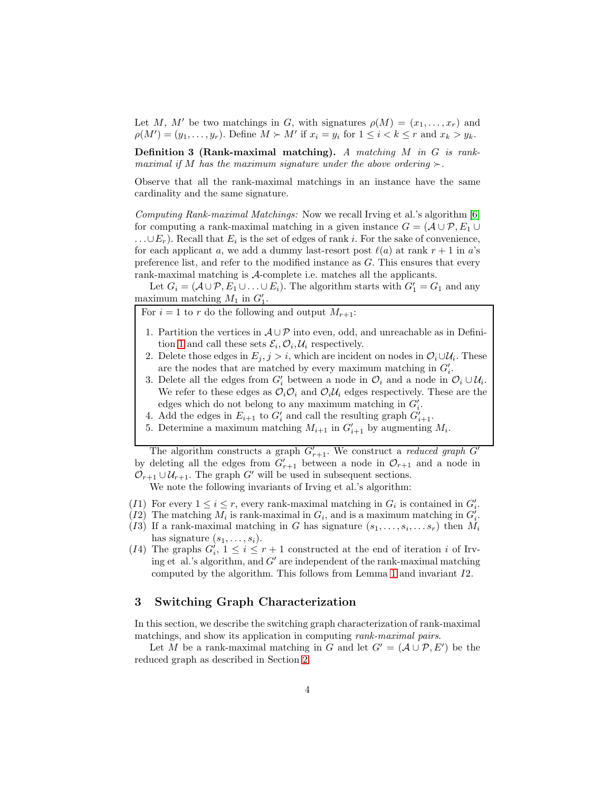Let M, M' be two matchings in G, with signatures  $\rho(M) = (x_1, \ldots, x_r)$  and  $\rho(M') = (y_1, \ldots, y_r)$ . Define  $M \succ M'$  if  $x_i = y_i$  for  $1 \leq i \leq k \leq r$  and  $x_k > y_k$ .

**Definition 3 (Rank-maximal matching).** A matching  $M$  in  $G$  is rankmaximal if M has the maximum signature under the above ordering  $\succ$ .

Observe that all the rank-maximal matchings in an instance have the same cardinality and the same signature.

Computing Rank-maximal Matchings: Now we recall Irving et al.'s algorithm [\[6\]](#page-10-2) for computing a rank-maximal matching in a given instance  $G = (\mathcal{A} \cup \mathcal{P}, E_1 \cup E_2)$  $\dots \cup E_r$ ). Recall that  $E_i$  is the set of edges of rank i. For the sake of convenience, for each applicant a, we add a dummy last-resort post  $\ell(a)$  at rank  $r+1$  in a's preference list, and refer to the modified instance as G. This ensures that every rank-maximal matching is A-complete i.e. matches all the applicants.

Let  $G_i = (\mathcal{A} \cup \mathcal{P}, E_1 \cup \ldots \cup E_i)$ . The algorithm starts with  $G'_1 = G_1$  and any maximum matching  $M_1$  in  $G'_1$ .

- For  $i = 1$  to r do the following and output  $M_{r+1}$ :
- 1. Partition the vertices in  $\mathcal{A} \cup \mathcal{P}$  into even, odd, and unreachable as in Defini-tion [1](#page-2-0) and call these sets  $\mathcal{E}_i, \mathcal{O}_i, \mathcal{U}_i$  respectively.
- 2. Delete those edges in  $E_j$ ,  $j > i$ , which are incident on nodes in  $\mathcal{O}_i \cup \mathcal{U}_i$ . These are the nodes that are matched by every maximum matching in  $G'_{i}$ .
- 3. Delete all the edges from  $G'_i$  between a node in  $\mathcal{O}_i$  and a node in  $\mathcal{O}_i \cup \mathcal{U}_i$ . We refer to these edges as  $\mathcal{O}_i \mathcal{O}_i$  and  $\mathcal{O}_i \mathcal{U}_i$  edges respectively. These are the edges which do not belong to any maximum matching in  $G'_{i}$ .
- 4. Add the edges in  $E_{i+1}$  to  $G'_i$  and call the resulting graph  $G'_{i+1}$ .
- 5. Determine a maximum matching  $M_{i+1}$  in  $G'_{i+1}$  by augmenting  $M_i$ .

The algorithm constructs a graph  $G'_{r+1}$ . We construct a *reduced graph*  $G'$ by deleting all the edges from  $G'_{r+1}$  between a node in  $\mathcal{O}_{r+1}$  and a node in  $\mathcal{O}_{r+1} \cup \mathcal{U}_{r+1}$ . The graph G' will be used in subsequent sections. We note the following invariants of Irving et al.'s algorithm:

- (I1) For every  $1 \leq i \leq r$ , every rank-maximal matching in  $G_i$  is contained in  $G'_i$ .
- $(12)$  The matching  $M_i$  is rank-maximal in  $G_i$ , and is a maximum matching in  $G_i'$ .
- (I3) If a rank-maximal matching in G has signature  $(s_1, \ldots, s_i, \ldots, s_r)$  then  $M_i$ has signature  $(s_1, \ldots, s_i)$ .
- (I4) The graphs  $G'_i$ ,  $1 \leq i \leq r+1$  constructed at the end of iteration i of Irving et al.'s algorithm, and  $G'$  are independent of the rank-maximal matching computed by the algorithm. This follows from Lemma [1](#page-2-1) and invariant I2.

# <span id="page-3-0"></span>3 Switching Graph Characterization

In this section, we describe the switching graph characterization of rank-maximal matchings, and show its application in computing rank-maximal pairs.

Let M be a rank-maximal matching in G and let  $G' = (\mathcal{A} \cup \mathcal{P}, E')$  be the reduced graph as described in Section [2.](#page-2-2)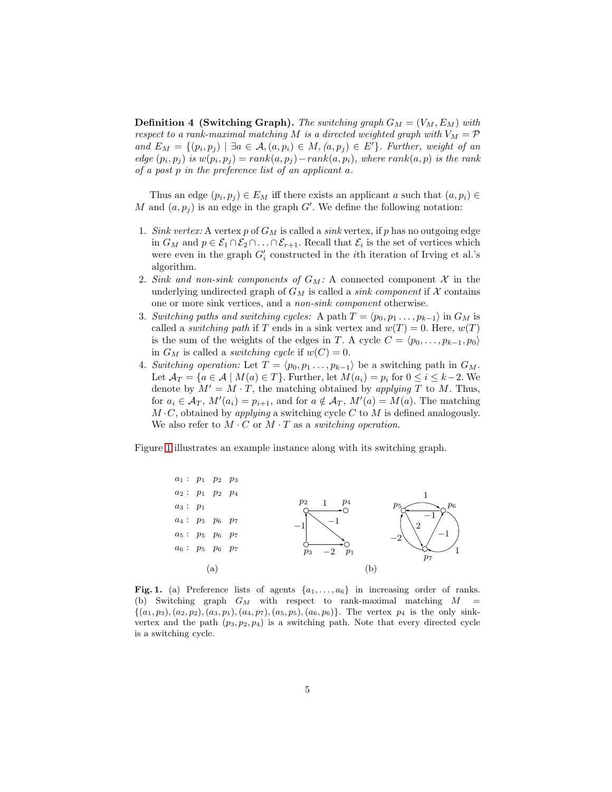**Definition 4 (Switching Graph).** The switching graph  $G_M = (V_M, E_M)$  with respect to a rank-maximal matching M is a directed weighted graph with  $V_M = \mathcal{P}$ and  $E_M = \{(p_i, p_j) \mid \exists a \in \mathcal{A}, (a, p_i) \in M, (a, p_j) \in E'\}$ . Further, weight of an edge  $(p_i, p_j)$  is  $w(p_i, p_j) = rank(a, p_j) - rank(a, p_i)$ , where  $rank(a, p)$  is the rank of a post p in the preference list of an applicant a.

Thus an edge  $(p_i, p_j) \in E_M$  iff there exists an applicant a such that  $(a, p_i) \in$ M and  $(a, p_j)$  is an edge in the graph G'. We define the following notation:

- 1. Sink vertex: A vertex p of  $G_M$  is called a sink vertex, if p has no outgoing edge in  $G_M$  and  $p \in \mathcal{E}_1 \cap \mathcal{E}_2 \cap \ldots \cap \mathcal{E}_{r+1}$ . Recall that  $\mathcal{E}_i$  is the set of vertices which were even in the graph  $G'_{i}$  constructed in the *i*th iteration of Irving et al.'s algorithm.
- 2. Sink and non-sink components of  $G_M$ : A connected component X in the underlying undirected graph of  $G_M$  is called a *sink component* if X contains one or more sink vertices, and a non-sink component otherwise.
- 3. Switching paths and switching cycles: A path  $T = \langle p_0, p_1 \ldots, p_{k-1} \rangle$  in  $G_M$  is called a *switching path* if T ends in a sink vertex and  $w(T) = 0$ . Here,  $w(T)$ is the sum of the weights of the edges in T. A cycle  $C = \langle p_0, \ldots, p_{k-1}, p_0 \rangle$ in  $G_M$  is called a *switching cycle* if  $w(C) = 0$ .
- 4. Switching operation: Let  $T = \langle p_0, p_1, \ldots, p_{k-1} \rangle$  be a switching path in  $G_M$ . Let  $\mathcal{A}_T = \{a \in \mathcal{A} \mid M(a) \in T\}$ . Further, let  $M(a_i) = p_i$  for  $0 \le i \le k-2$ . We denote by  $M' = M \cdot T$ , the matching obtained by applying T to M. Thus, for  $a_i \in \mathcal{A}_T$ ,  $M'(a_i) = p_{i+1}$ , and for  $a \notin \mathcal{A}_T$ ,  $M'(a) = M(a)$ . The matching  $M \cdot C$ , obtaine **E**sfrag problem a switching cycle C to M is defined analogously. We also refer to  $M \cdot C$  or  $M \cdot T$  as a switching operation.

Figure [1](#page-4-0) illustrates an example instance along with its switching graph.



<span id="page-4-0"></span>Fig. 1. (a) Preference lists of agents  $\{a_1, \ldots, a_6\}$  in increasing order of ranks. (b) Switching graph  $G_M$  with respect to rank-maximal matching  $M =$  $\{(a_1, p_3), (a_2, p_2), (a_3, p_1), (a_4, p_7), (a_5, p_5), (a_6, p_6)\}.$  The vertex  $p_4$  is the only sinkvertex and the path  $(p_3, p_2, p_4)$  is a switching path. Note that every directed cycle is a switching cycle.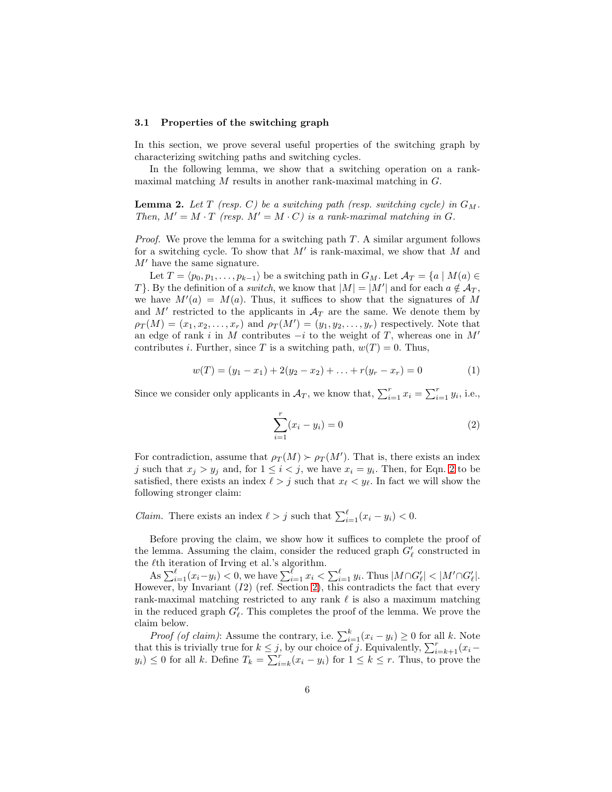#### 3.1 Properties of the switching graph

In this section, we prove several useful properties of the switching graph by characterizing switching paths and switching cycles.

<span id="page-5-2"></span>In the following lemma, we show that a switching operation on a rankmaximal matching  $M$  results in another rank-maximal matching in  $G$ .

**Lemma 2.** Let T (resp. C) be a switching path (resp. switching cycle) in  $G_M$ . Then,  $M' = M \cdot T$  (resp.  $M' = M \cdot C$ ) is a rank-maximal matching in G.

*Proof.* We prove the lemma for a switching path  $T$ . A similar argument follows for a switching cycle. To show that  $M'$  is rank-maximal, we show that  $M$  and M′ have the same signature.

Let  $T = \langle p_0, p_1, \ldots, p_{k-1} \rangle$  be a switching path in  $G_M$ . Let  $\mathcal{A}_T = \{a \mid M(a) \in$ T}. By the definition of a *switch*, we know that  $|M| = |M'|$  and for each  $a \notin \mathcal{A}_T$ , we have  $M'(a) = M(a)$ . Thus, it suffices to show that the signatures of M and  $M'$  restricted to the applicants in  $\mathcal{A}_T$  are the same. We denote them by  $\rho_T(M) = (x_1, x_2, \ldots, x_r)$  and  $\rho_T(M') = (y_1, y_2, \ldots, y_r)$  respectively. Note that an edge of rank i in M contributes  $-i$  to the weight of T, whereas one in M' contributes *i*. Further, since T is a switching path,  $w(T) = 0$ . Thus,

<span id="page-5-1"></span>
$$
w(T) = (y_1 - x_1) + 2(y_2 - x_2) + \ldots + r(y_r - x_r) = 0 \tag{1}
$$

Since we consider only applicants in  $\mathcal{A}_T$ , we know that,  $\sum_{i=1}^r x_i = \sum_{i=1}^r y_i$ , i.e.,

<span id="page-5-0"></span>
$$
\sum_{i=1}^{r} (x_i - y_i) = 0
$$
 (2)

For contradiction, assume that  $\rho_T(M) \succ \rho_T(M')$ . That is, there exists an index j such that  $x_j > y_j$  and, for  $1 \leq i < j$ , we have  $x_i = y_i$ . Then, for Eqn. [2](#page-5-0) to be satisfied, there exists an index  $\ell > j$  such that  $x_{\ell} < y_{\ell}$ . In fact we will show the following stronger claim:

*Claim.* There exists an index  $\ell > j$  such that  $\sum_{i=1}^{\ell} (x_i - y_i) < 0$ .

Before proving the claim, we show how it suffices to complete the proof of the lemma. Assuming the claim, consider the reduced graph  $G'_{\ell}$  constructed in the  $\ell$ th iteration of Irving et al.'s algorithm.

As  $\sum_{i=1}^{\ell} (x_i - y_i) < 0$ , we have  $\sum_{i=1}^{\ell} x_i < \sum_{i=1}^{\ell} y_i$ . Thus  $|M \cap G'_{\ell}| < |M' \cap G'_{\ell}|$ . However, by Invariant  $(I2)$  (ref. Section [2\)](#page-2-2), this contradicts the fact that every rank-maximal matching restricted to any rank  $\ell$  is also a maximum matching in the reduced graph  $G'_{\ell}$ . This completes the proof of the lemma. We prove the claim below.

*Proof (of claim)*: Assume the contrary, i.e.  $\sum_{i=1}^{k} (x_i - y_i) \geq 0$  for all k. Note that this is trivially true for  $k \leq j$ , by our choice of j. Equivalently,  $\sum_{i=k+1}^{r} (x_i$  $y_i$ )  $\leq 0$  for all k. Define  $T_k = \sum_{i=k}^{r} (x_i - y_i)$  for  $1 \leq k \leq r$ . Thus, to prove the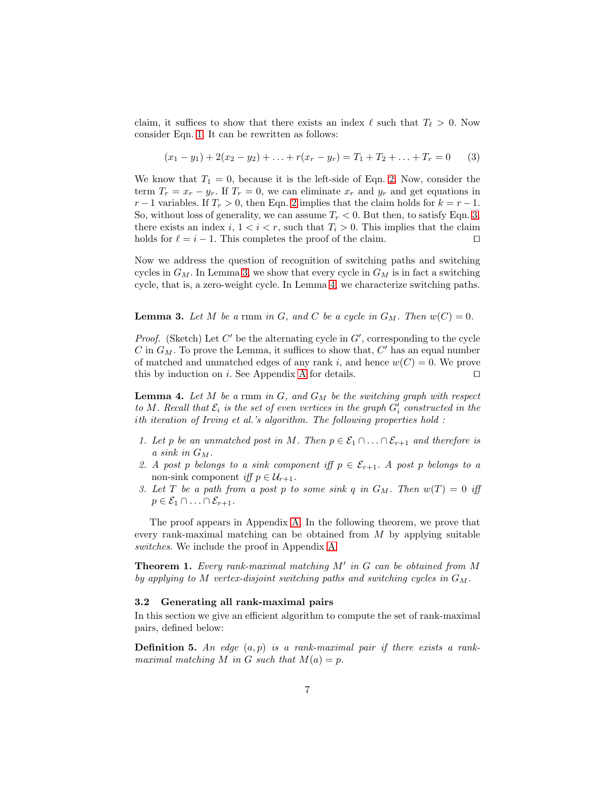claim, it suffices to show that there exists an index  $\ell$  such that  $T_{\ell} > 0$ . Now consider Eqn. [1.](#page-5-1) It can be rewritten as follows:

<span id="page-6-0"></span>
$$
(x_1 - y_1) + 2(x_2 - y_2) + \ldots + r(x_r - y_r) = T_1 + T_2 + \ldots + T_r = 0
$$
 (3)

We know that  $T_1 = 0$ , because it is the left-side of Eqn. [2.](#page-5-0) Now, consider the term  $T_r = x_r - y_r$ . If  $T_r = 0$ , we can eliminate  $x_r$  and  $y_r$  and get equations in  $r-1$  variables. If  $T_r > 0$ , then Eqn. [2](#page-5-0) implies that the claim holds for  $k = r - 1$ . So, without loss of generality, we can assume  $T_r < 0$ . But then, to satisfy Eqn. [3,](#page-6-0) there exists an index  $i, 1 < i < r$ , such that  $T_i > 0$ . This implies that the claim holds for  $\ell = i - 1$ . This completes the proof of the claim. □

Now we address the question of recognition of switching paths and switching cycles in  $G_M$ . In Lemma [3,](#page-6-1) we show that every cycle in  $G_M$  is in fact a switching cycle, that is, a zero-weight cycle. In Lemma [4,](#page-6-2) we characterize switching paths.

<span id="page-6-1"></span>**Lemma 3.** Let M be a rmm in G, and C be a cycle in  $G_M$ . Then  $w(C) = 0$ .

*Proof.* (Sketch) Let  $C'$  be the alternating cycle in  $G'$ , corresponding to the cycle C in  $G_M$ . To prove the Lemma, it suffices to show that, C' has an equal number of matched and unmatched edges of any rank i, and hence  $w(C) = 0$ . We prove this by induction on *i*. See [A](#page-12-0)ppendix A for details.  $□$ 

<span id="page-6-2"></span>**Lemma 4.** Let  $M$  be a rmm in  $G$ , and  $G_M$  be the switching graph with respect to M. Recall that  $\mathcal{E}_i$  is the set of even vertices in the graph  $G'_i$  constructed in the ith iteration of Irving et al.'s algorithm. The following properties hold :

- 1. Let p be an unmatched post in M. Then  $p \in \mathcal{E}_1 \cap \ldots \cap \mathcal{E}_{r+1}$  and therefore is a sink in  $G_M$ .
- 2. A post p belongs to a sink component iff  $p \in \mathcal{E}_{r+1}$ . A post p belongs to a non-sink component *iff*  $p \in \mathcal{U}_{r+1}$ .
- 3. Let T be a path from a post p to some sink q in  $G_M$ . Then  $w(T) = 0$  iff  $p \in \mathcal{E}_1 \cap \ldots \cap \mathcal{E}_{r+1}.$

The proof appears in Appendix [A.](#page-12-0) In the following theorem, we prove that every rank-maximal matching can be obtained from  $M$  by applying suitable switches. We include the proof in Appendix [A.](#page-12-0)

<span id="page-6-3"></span>**Theorem 1.** Every rank-maximal matching  $M'$  in  $G$  can be obtained from  $M$ by applying to M vertex-disjoint switching paths and switching cycles in  $G_M$ .

### 3.2 Generating all rank-maximal pairs

In this section we give an efficient algorithm to compute the set of rank-maximal pairs, defined below:

**Definition 5.** An edge  $(a, p)$  is a rank-maximal pair if there exists a rankmaximal matching M in G such that  $M(a) = p$ .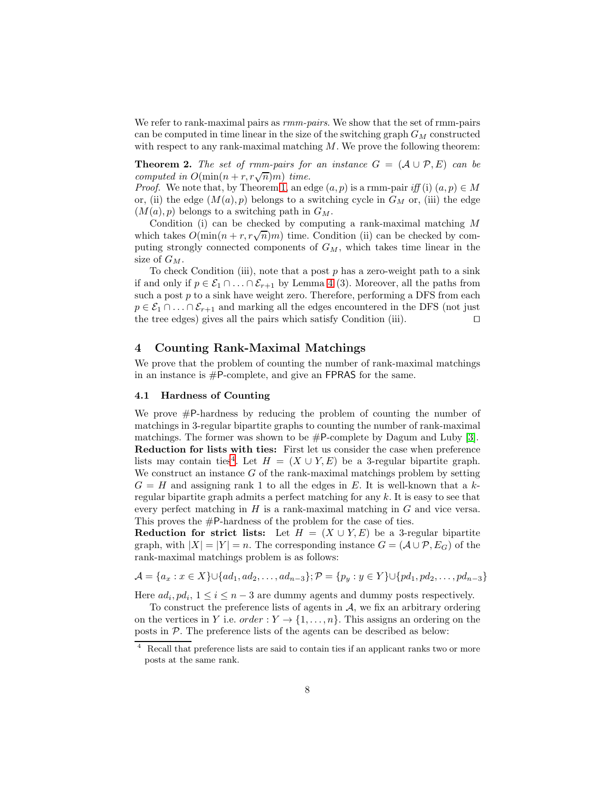We refer to rank-maximal pairs as  $rmm\text{-}pairs$ . We show that the set of rmm-pairs can be computed in time linear in the size of the switching graph  $G_M$  constructed with respect to any rank-maximal matching  $M$ . We prove the following theorem:

**Theorem 2.** The set of rmm-pairs for an instance  $G = (\mathcal{A} \cup \mathcal{P}, E)$  can be computed in  $O(\min(n + r, r\sqrt{n})m)$  time.

*Proof.* We note that, by Theorem [1,](#page-6-3) an edge  $(a, p)$  is a rmm-pair iff (i)  $(a, p) \in M$ or, (ii) the edge  $(M(a), p)$  belongs to a switching cycle in  $G_M$  or, (iii) the edge  $(M(a), p)$  belongs to a switching path in  $G_M$ .

Condition (i) can be checked by computing a rank-maximal matching M which takes  $\widetilde{O(\min(n+r, r\sqrt{n})m)}$  time. Condition (ii) can be checked by computing strongly connected components of  $G_M$ , which takes time linear in the size of  $G_M$ .

To check Condition (iii), note that a post  $p$  has a zero-weight path to a sink if and only if  $p \in \mathcal{E}_1 \cap ... \cap \mathcal{E}_{r+1}$  by Lemma [4](#page-6-2) (3). Moreover, all the paths from such a post  $p$  to a sink have weight zero. Therefore, performing a DFS from each  $p \in \mathcal{E}_1 \cap \ldots \cap \mathcal{E}_{r+1}$  and marking all the edges encountered in the DFS (not just the tree edges) gives all the pairs which satisfy Condition (iii). the tree edges) gives all the pairs which satisfy Condition (iii). ⊓⊔

# <span id="page-7-2"></span>4 Counting Rank-Maximal Matchings

We prove that the problem of counting the number of rank-maximal matchings in an instance is #P-complete, and give an FPRAS for the same.

## <span id="page-7-1"></span>4.1 Hardness of Counting

We prove #P-hardness by reducing the problem of counting the number of matchings in 3-regular bipartite graphs to counting the number of rank-maximal matchings. The former was shown to be  $\#P$ -complete by Dagum and Luby [\[3\]](#page-10-7). Reduction for lists with ties: First let us consider the case when preference lists may contain ties<sup>[4](#page-7-0)</sup>. Let  $H = (X \cup Y, E)$  be a 3-regular bipartite graph. We construct an instance  $G$  of the rank-maximal matchings problem by setting  $G = H$  and assigning rank 1 to all the edges in E. It is well-known that a kregular bipartite graph admits a perfect matching for any  $k$ . It is easy to see that every perfect matching in  $H$  is a rank-maximal matching in  $G$  and vice versa. This proves the #P-hardness of the problem for the case of ties.

Reduction for strict lists: Let  $H = (X \cup Y, E)$  be a 3-regular bipartite graph, with  $|X| = |Y| = n$ . The corresponding instance  $G = (\mathcal{A} \cup \mathcal{P}, E_G)$  of the rank-maximal matchings problem is as follows:

$$
\mathcal{A} = \{a_x : x \in X\} \cup \{ad_1, ad_2, \dots, ad_{n-3}\}; \mathcal{P} = \{p_y : y \in Y\} \cup \{pd_1, pd_2, \dots, pd_{n-3}\}\
$$

Here  $ad_i, pd_i, 1 \leq i \leq n-3$  are dummy agents and dummy posts respectively.

To construct the preference lists of agents in  $A$ , we fix an arbitrary ordering on the vertices in Y i.e. order :  $Y \to \{1, \ldots, n\}$ . This assigns an ordering on the posts in  $P$ . The preference lists of the agents can be described as below:

<span id="page-7-0"></span><sup>4</sup> Recall that preference lists are said to contain ties if an applicant ranks two or more posts at the same rank.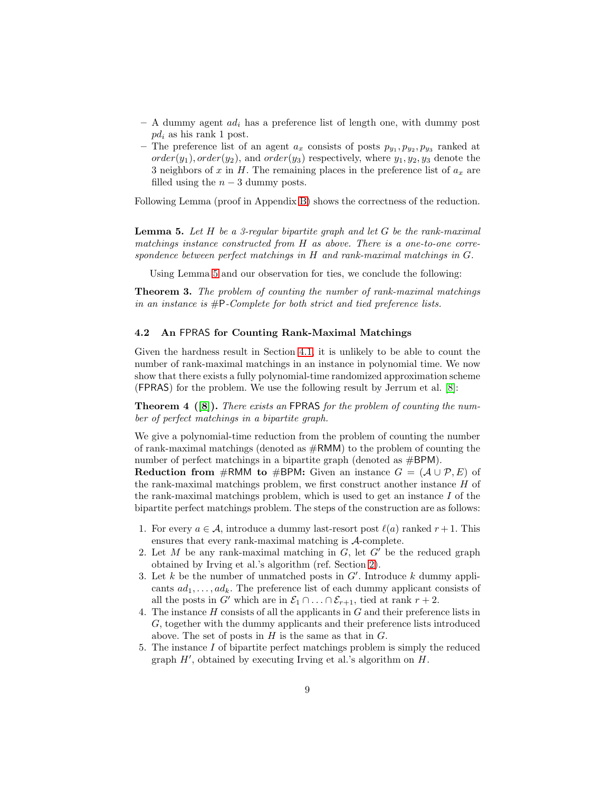- $-$  A dummy agent  $ad_i$  has a preference list of length one, with dummy post  $pd_i$  as his rank 1 post.
- The preference list of an agent  $a_x$  consists of posts  $p_{y_1}, p_{y_2}, p_{y_3}$  ranked at  $order(y_1)$ ,  $order(y_2)$ , and  $order(y_3)$  respectively, where  $y_1, y_2, y_3$  denote the 3 neighbors of x in  $H$ . The remaining places in the preference list of  $a_x$  are filled using the  $n-3$  dummy posts.

<span id="page-8-0"></span>Following Lemma (proof in Appendix [B\)](#page-14-0) shows the correctness of the reduction.

**Lemma 5.** Let  $H$  be a 3-regular bipartite graph and let  $G$  be the rank-maximal matchings instance constructed from H as above. There is a one-to-one correspondence between perfect matchings in H and rank-maximal matchings in G.

Using Lemma [5](#page-8-0) and our observation for ties, we conclude the following:

Theorem 3. The problem of counting the number of rank-maximal matchings in an instance is  $\#P$ -Complete for both strict and tied preference lists.

### <span id="page-8-1"></span>4.2 An FPRAS for Counting Rank-Maximal Matchings

Given the hardness result in Section [4.1,](#page-7-1) it is unlikely to be able to count the number of rank-maximal matchings in an instance in polynomial time. We now show that there exists a fully polynomial-time randomized approximation scheme (FPRAS) for the problem. We use the following result by Jerrum et al. [\[8\]](#page-10-8):

Theorem 4 ([\[8\]](#page-10-8)). There exists an FPRAS for the problem of counting the number of perfect matchings in a bipartite graph.

We give a polynomial-time reduction from the problem of counting the number of rank-maximal matchings (denoted as  $\#RMM$ ) to the problem of counting the number of perfect matchings in a bipartite graph (denoted as  $\#BPM$ ).

**Reduction from** #RMM to #BPM: Given an instance  $G = (\mathcal{A} \cup \mathcal{P}, E)$  of the rank-maximal matchings problem, we first construct another instance H of the rank-maximal matchings problem, which is used to get an instance  $I$  of the bipartite perfect matchings problem. The steps of the construction are as follows:

- 1. For every  $a \in \mathcal{A}$ , introduce a dummy last-resort post  $\ell(a)$  ranked  $r+1$ . This ensures that every rank-maximal matching is A-complete.
- 2. Let  $M$  be any rank-maximal matching in  $G$ , let  $G'$  be the reduced graph obtained by Irving et al.'s algorithm (ref. Section [2\)](#page-2-2).
- 3. Let  $k$  be the number of unmatched posts in  $G'$ . Introduce  $k$  dummy applicants  $ad_1, \ldots, ad_k$ . The preference list of each dummy applicant consists of all the posts in G' which are in  $\mathcal{E}_1 \cap \ldots \cap \mathcal{E}_{r+1}$ , tied at rank  $r+2$ .
- 4. The instance H consists of all the applicants in G and their preference lists in G, together with the dummy applicants and their preference lists introduced above. The set of posts in  $H$  is the same as that in  $G$ .
- 5. The instance I of bipartite perfect matchings problem is simply the reduced graph  $H'$ , obtained by executing Irving et al.'s algorithm on  $H$ .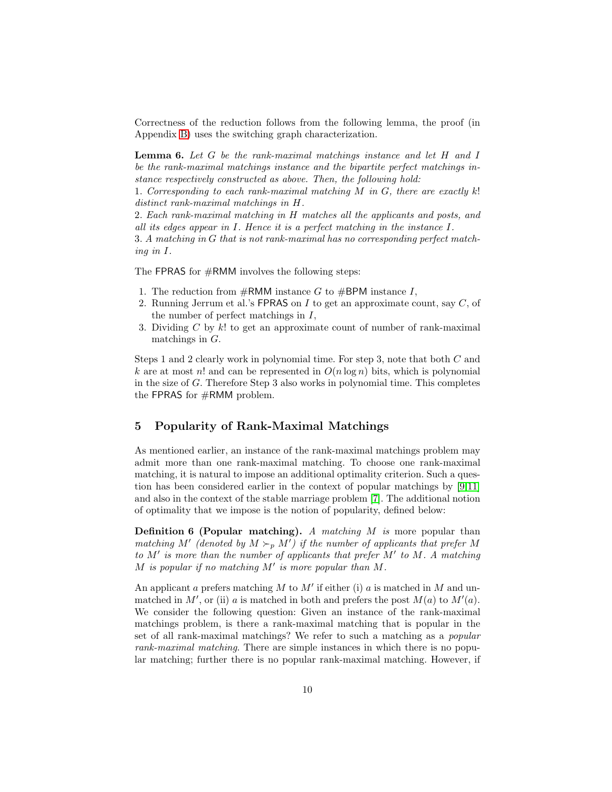<span id="page-9-0"></span>Correctness of the reduction follows from the following lemma, the proof (in Appendix [B\)](#page-14-0) uses the switching graph characterization.

**Lemma 6.** Let  $G$  be the rank-maximal matchings instance and let  $H$  and  $I$ be the rank-maximal matchings instance and the bipartite perfect matchings instance respectively constructed as above. Then, the following hold:

1. Corresponding to each rank-maximal matching  $M$  in  $G$ , there are exactly  $k!$ distinct rank-maximal matchings in H.

2. Each rank-maximal matching in H matches all the applicants and posts, and all its edges appear in I. Hence it is a perfect matching in the instance I.

3. A matching in G that is not rank-maximal has no corresponding perfect matching in I.

The FPRAS for  $#RMM$  involves the following steps:

- 1. The reduction from  $\#RMM$  instance G to  $\#BPM$  instance I,
- 2. Running Jerrum et al.'s FPRAS on I to get an approximate count, say  $C$ , of the number of perfect matchings in I,
- 3. Dividing C by k! to get an approximate count of number of rank-maximal matchings in G.

Steps 1 and 2 clearly work in polynomial time. For step 3, note that both C and k are at most n! and can be represented in  $O(n \log n)$  bits, which is polynomial in the size of G. Therefore Step 3 also works in polynomial time. This completes the FPRAS for #RMM problem.

# <span id="page-9-1"></span>5 Popularity of Rank-Maximal Matchings

As mentioned earlier, an instance of the rank-maximal matchings problem may admit more than one rank-maximal matching. To choose one rank-maximal matching, it is natural to impose an additional optimality criterion. Such a question has been considered earlier in the context of popular matchings by [\[9,](#page-10-9)[11\]](#page-10-6) and also in the context of the stable marriage problem [\[7\]](#page-10-10). The additional notion of optimality that we impose is the notion of popularity, defined below:

**Definition 6 (Popular matching).** A matching  $M$  is more popular than matching M' (denoted by  $M \succ_{p} M'$ ) if the number of applicants that prefer M to M' is more than the number of applicants that prefer M' to M. A matching M is popular if no matching  $M'$  is more popular than  $M$ .

An applicant a prefers matching M to  $M'$  if either (i) a is matched in M and unmatched in M', or (ii) a is matched in both and prefers the post  $M(a)$  to  $M'(a)$ . We consider the following question: Given an instance of the rank-maximal matchings problem, is there a rank-maximal matching that is popular in the set of all rank-maximal matchings? We refer to such a matching as a popular rank-maximal matching. There are simple instances in which there is no popular matching; further there is no popular rank-maximal matching. However, if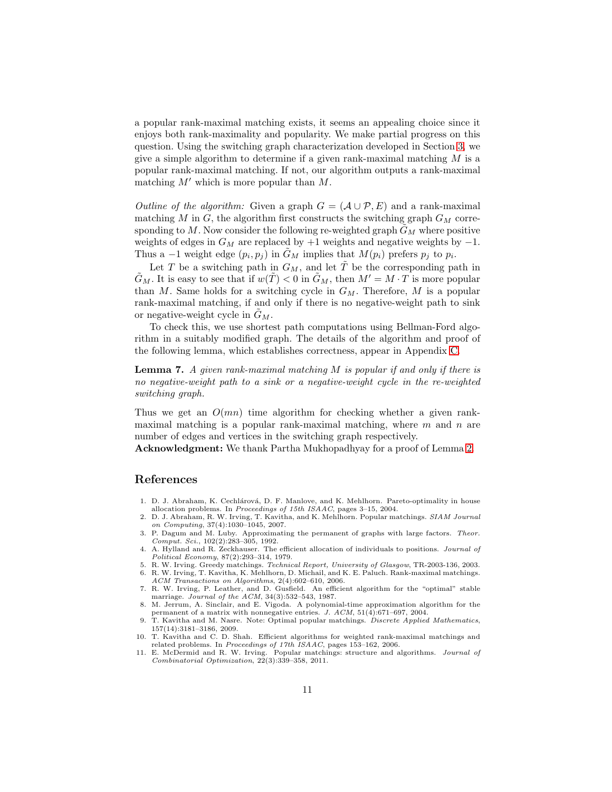a popular rank-maximal matching exists, it seems an appealing choice since it enjoys both rank-maximality and popularity. We make partial progress on this question. Using the switching graph characterization developed in Section [3,](#page-3-0) we give a simple algorithm to determine if a given rank-maximal matching  $M$  is a popular rank-maximal matching. If not, our algorithm outputs a rank-maximal matching  $M'$  which is more popular than  $M$ .

Outline of the algorithm: Given a graph  $G = (\mathcal{A} \cup \mathcal{P}, E)$  and a rank-maximal matching M in G, the algorithm first constructs the switching graph  $G_M$  corresponding to  $M$ . Now consider the following re-weighted graph  $G_M$  where positive weights of edges in  $G_M$  are replaced by +1 weights and negative weights by  $-1$ . Thus a -1 weight edge  $(p_i, p_j)$  in  $\tilde{G}_M$  implies that  $M(p_i)$  prefers  $p_j$  to  $p_i$ .

Let T be a switching path in  $G_M$ , and let T be the corresponding path in  $\tilde{G}_M$ . It is easy to see that if  $w(\tilde{T}) < 0$  in  $\tilde{G}_M$ , then  $M' = M \cdot T$  is more popular than  $M$ . Same holds for a switching cycle in  $G_M$ . Therefore,  $M$  is a popular rank-maximal matching, if and only if there is no negative-weight path to sink or negative-weight cycle in  $\tilde{G}_M$ .

To check this, we use shortest path computations using Bellman-Ford algorithm in a suitably modified graph. The details of the algorithm and proof of the following lemma, which establishes correctness, appear in Appendix [C.](#page-16-0)

<span id="page-10-11"></span>**Lemma 7.** A given rank-maximal matching  $M$  is popular if and only if there is no negative-weight path to a sink or a negative-weight cycle in the re-weighted switching graph.

Thus we get an  $O(mn)$  time algorithm for checking whether a given rankmaximal matching is a popular rank-maximal matching, where  $m$  and  $n$  are number of edges and vertices in the switching graph respectively.

Acknowledgment: We thank Partha Mukhopadhyay for a proof of Lemma [2.](#page-5-2)

# References

- <span id="page-10-1"></span>1. D. J. Abraham, K. Cechlárová, D. F. Manlove, and K. Mehlhorn. Pareto-optimality in house allocation problems. In Proceedings of 15th ISAAC, pages 3–15, 2004.
- <span id="page-10-3"></span>2. D. J. Abraham, R. W. Irving, T. Kavitha, and K. Mehlhorn. Popular matchings. SIAM Journal on Computing, 37(4):1030–1045, 2007.
- <span id="page-10-7"></span>3. P. Dagum and M. Luby. Approximating the permanent of graphs with large factors. Theor. Comput. Sci., 102(2):283–305, 1992.
- <span id="page-10-0"></span>4. A. Hylland and R. Zeckhauser. The efficient allocation of individuals to positions. Journal of Political Economy, 87(2):293–314, 1979.
- <span id="page-10-4"></span><span id="page-10-2"></span>5. R. W. Irving. Greedy matchings. Technical Report, University of Glasgow, TR-2003-136, 2003. 6. R. W. Irving, T. Kavitha, K. Mehlhorn, D. Michail, and K. E. Paluch. Rank-maximal matchings.
- ACM Transactions on Algorithms, 2(4):602–610, 2006.
- <span id="page-10-10"></span>7. R. W. Irving, P. Leather, and D. Gusfield. An efficient algorithm for the "optimal" stable marriage. Journal of the ACM, 34(3):532–543, 1987.
- <span id="page-10-8"></span>8. M. Jerrum, A. Sinclair, and E. Vigoda. A polynomial-time approximation algorithm for the permanent of a matrix with nonnegative entries. J. ACM, 51(4):671–697, 2004.
- <span id="page-10-9"></span>9. T. Kavitha and M. Nasre. Note: Optimal popular matchings. Discrete Applied Mathematics, 157(14):3181–3186, 2009.
- <span id="page-10-5"></span>10. T. Kavitha and C. D. Shah. Efficient algorithms for weighted rank-maximal matchings and related problems. In *Proceedings of 17th ISAAC*, pages 153–162, 2006.<br>11. E. McDermid and R. W. Irving. Popular matchings: structure and algorithms. *Journal of*
- <span id="page-10-6"></span>Combinatorial Optimization, 22(3):339–358, 2011.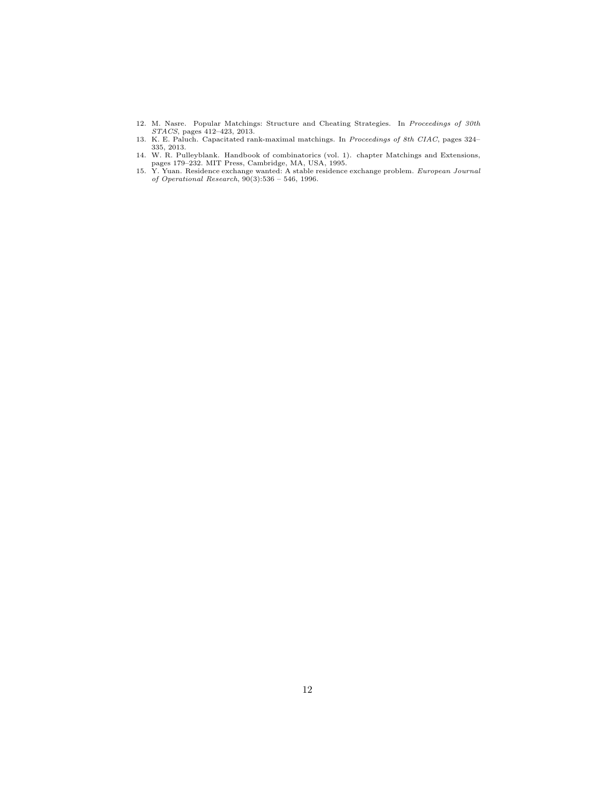- <span id="page-11-2"></span>12. M. Nasre. Popular Matchings: Structure and Cheating Strategies. In Proceedings of 30th STACS, pages 412–423, 2013. 13. K. E. Paluch. Capacitated rank-maximal matchings. In Proceedings of 8th CIAC, pages 324–
- <span id="page-11-3"></span><span id="page-11-1"></span>335, 2013.
- <span id="page-11-0"></span>14. W. R. Pulleyblank. Handbook of combinatorics (vol. 1). chapter Matchings and Extensions, pages 179–232. MIT Press, Cambridge, MA, USA, 1995.<br>15. Yuan. Residence exchange wanted: A stable residence exchange problem. *Eu*
-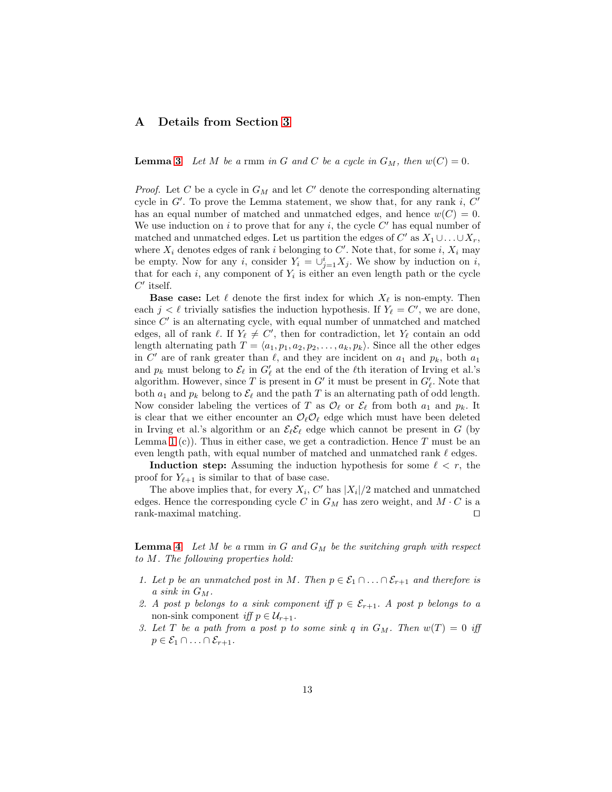# <span id="page-12-0"></span>A Details from Section [3](#page-3-0)

**Lemma [3](#page-6-1)** Let M be a rmm in G and C be a cycle in  $G_M$ , then  $w(C) = 0$ .

*Proof.* Let C be a cycle in  $G_M$  and let C' denote the corresponding alternating cycle in  $G'$ . To prove the Lemma statement, we show that, for any rank i,  $C'$ has an equal number of matched and unmatched edges, and hence  $w(C) = 0$ . We use induction on i to prove that for any i, the cycle  $C'$  has equal number of matched and unmatched edges. Let us partition the edges of  $C'$  as  $X_1 \cup \ldots \cup X_r$ , where  $X_i$  denotes edges of rank i belonging to C'. Note that, for some i,  $X_i$  may be empty. Now for any *i*, consider  $Y_i = \bigcup_{j=1}^i X_j$ . We show by induction on *i*, that for each  $i$ , any component of  $Y_i$  is either an even length path or the cycle  $C'$  itself.

**Base case:** Let  $\ell$  denote the first index for which  $X_{\ell}$  is non-empty. Then each  $j < \ell$  trivially satisfies the induction hypothesis. If  $Y_{\ell} = C'$ , we are done, since  $C'$  is an alternating cycle, with equal number of unmatched and matched edges, all of rank  $\ell$ . If  $Y_{\ell} \neq C'$ , then for contradiction, let  $Y_{\ell}$  contain an odd length alternating path  $T = \langle a_1, p_1, a_2, p_2, \ldots, a_k, p_k \rangle$ . Since all the other edges in  $C'$  are of rank greater than  $\ell$ , and they are incident on  $a_1$  and  $p_k$ , both  $a_1$ and  $p_k$  must belong to  $\mathcal{E}_{\ell}$  in  $G'_{\ell}$  at the end of the  $\ell$ th iteration of Irving et al.'s algorithm. However, since T is present in  $G'$  it must be present in  $G'_{\ell}$ . Note that both  $a_1$  and  $p_k$  belong to  $\mathcal{E}_{\ell}$  and the path T is an alternating path of odd length. Now consider labeling the vertices of T as  $\mathcal{O}_{\ell}$  or  $\mathcal{E}_{\ell}$  from both  $a_1$  and  $p_k$ . It is clear that we either encounter an  $\mathcal{O}_{\ell} \mathcal{O}_{\ell}$  edge which must have been deleted in Irving et al.'s algorithm or an  $\mathcal{E}_{\ell} \mathcal{E}_{\ell}$  edge which cannot be present in G (by Lemma [1](#page-2-1) (c)). Thus in either case, we get a contradiction. Hence  $T$  must be an even length path, with equal number of matched and unmatched rank  $\ell$  edges.

**Induction step:** Assuming the induction hypothesis for some  $\ell < r$ , the proof for  $Y_{\ell+1}$  is similar to that of base case.

The above implies that, for every  $X_i$ ,  $C'$  has  $|X_i|/2$  matched and unmatched edges. Hence the corresponding cycle C in  $G_M$  has zero weight, and  $M \cdot C$  is a rank-maximal matching. rank-maximal matching. ⊓⊔

**Lemma [4](#page-6-2)** Let M be a rmm in G and  $G_M$  be the switching graph with respect to M. The following properties hold:

- <span id="page-12-1"></span>1. Let p be an unmatched post in M. Then  $p \in \mathcal{E}_1 \cap \ldots \cap \mathcal{E}_{r+1}$  and therefore is a sink in  $G_M$ .
- 2. A post p belongs to a sink component iff  $p \in \mathcal{E}_{r+1}$ . A post p belongs to a non-sink component iff  $p \in \mathcal{U}_{r+1}$ .
- 3. Let T be a path from a post p to some sink q in  $G_M$ . Then  $w(T) = 0$  iff  $p \in \mathcal{E}_1 \cap \ldots \cap \mathcal{E}_{r+1}.$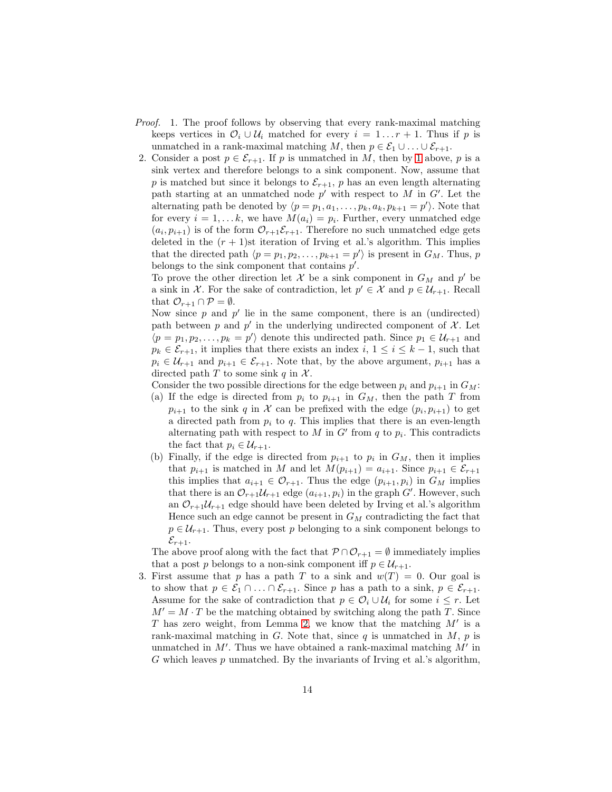- Proof. 1. The proof follows by observing that every rank-maximal matching keeps vertices in  $\mathcal{O}_i \cup \mathcal{U}_i$  matched for every  $i = 1 \dots r + 1$ . Thus if p is unmatched in a rank-maximal matching M, then  $p \in \mathcal{E}_1 \cup \ldots \cup \mathcal{E}_{r+1}$ .
- 2. Consider a post  $p \in \mathcal{E}_{r+1}$ . If p is unmatched in M, then by [1](#page-12-1) above, p is a sink vertex and therefore belongs to a sink component. Now, assume that p is matched but since it belongs to  $\mathcal{E}_{r+1}$ , p has an even length alternating path starting at an unmatched node  $p'$  with respect to  $M$  in  $G'$ . Let the alternating path be denoted by  $\langle p = p_1, a_1, \ldots, p_k, a_k, p_{k+1} = p' \rangle$ . Note that for every  $i = 1, \ldots k$ , we have  $M(a_i) = p_i$ . Further, every unmatched edge  $(a_i, p_{i+1})$  is of the form  $\mathcal{O}_{r+1}\mathcal{E}_{r+1}$ . Therefore no such unmatched edge gets deleted in the  $(r + 1)$ st iteration of Irving et al.'s algorithm. This implies that the directed path  $\langle p = p_1, p_2, \ldots, p_{k+1} = p' \rangle$  is present in  $G_M$ . Thus, p belongs to the sink component that contains  $p'$ .

To prove the other direction let  $\mathcal X$  be a sink component in  $G_M$  and  $p'$  be a sink in X. For the sake of contradiction, let  $p' \in \mathcal{X}$  and  $p \in \mathcal{U}_{r+1}$ . Recall that  $\mathcal{O}_{r+1} \cap \mathcal{P} = \emptyset$ .

Now since  $p$  and  $p'$  lie in the same component, there is an (undirected) path between  $p$  and  $p'$  in the underlying undirected component of  $\mathcal{X}$ . Let  $\langle p = p_1, p_2, \ldots, p_k = p' \rangle$  denote this undirected path. Since  $p_1 \in U_{r+1}$  and  $p_k \in \mathcal{E}_{r+1}$ , it implies that there exists an index  $i, 1 \leq i \leq k-1$ , such that  $p_i \in \mathcal{U}_{r+1}$  and  $p_{i+1} \in \mathcal{E}_{r+1}$ . Note that, by the above argument,  $p_{i+1}$  has a directed path T to some sink  $q$  in  $\mathcal{X}$ .

Consider the two possible directions for the edge between  $p_i$  and  $p_{i+1}$  in  $G_M$ :

- (a) If the edge is directed from  $p_i$  to  $p_{i+1}$  in  $G_M$ , then the path T from  $p_{i+1}$  to the sink q in X can be prefixed with the edge  $(p_i, p_{i+1})$  to get a directed path from  $p_i$  to  $q$ . This implies that there is an even-length alternating path with respect to M in  $G'$  from q to  $p_i$ . This contradicts the fact that  $p_i \in \mathcal{U}_{r+1}$ .
- (b) Finally, if the edge is directed from  $p_{i+1}$  to  $p_i$  in  $G_M$ , then it implies that  $p_{i+1}$  is matched in M and let  $M(p_{i+1}) = a_{i+1}$ . Since  $p_{i+1} \in \mathcal{E}_{r+1}$ this implies that  $a_{i+1} \in \mathcal{O}_{r+1}$ . Thus the edge  $(p_{i+1}, p_i)$  in  $G_M$  implies that there is an  $\mathcal{O}_{r+1}\mathcal{U}_{r+1}$  edge  $(a_{i+1}, p_i)$  in the graph  $G'$ . However, such an  $\mathcal{O}_{r+1}\mathcal{U}_{r+1}$  edge should have been deleted by Irving et al.'s algorithm Hence such an edge cannot be present in  $G_M$  contradicting the fact that  $p \in \mathcal{U}_{r+1}$ . Thus, every post p belonging to a sink component belongs to  $\mathcal{E}_{r+1}$ .

The above proof along with the fact that  $\mathcal{P} \cap \mathcal{O}_{r+1} = \emptyset$  immediately implies that a post p belongs to a non-sink component iff  $p \in \mathcal{U}_{r+1}$ .

3. First assume that p has a path T to a sink and  $w(T) = 0$ . Our goal is to show that  $p \in \mathcal{E}_1 \cap ... \cap \mathcal{E}_{r+1}$ . Since p has a path to a sink,  $p \in \mathcal{E}_{r+1}$ . Assume for the sake of contradiction that  $p \in \mathcal{O}_i \cup \mathcal{U}_i$  for some  $i \leq r$ . Let  $M' = M \cdot T$  be the matching obtained by switching along the path T. Since  $T$  has zero weight, from Lemma [2,](#page-5-2) we know that the matching  $M'$  is a rank-maximal matching in G. Note that, since q is unmatched in  $M$ , p is unmatched in  $M'$ . Thus we have obtained a rank-maximal matching  $M'$  in G which leaves p unmatched. By the invariants of Irving et al.'s algorithm,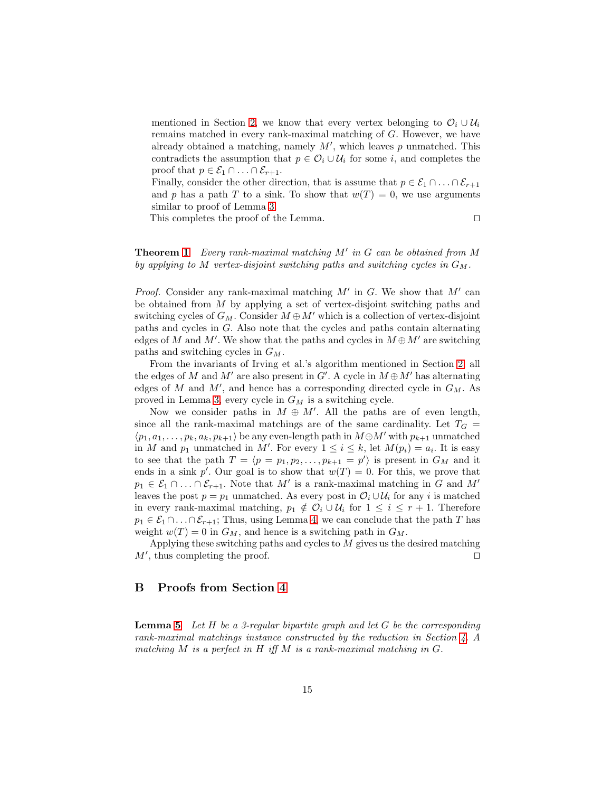mentioned in Section [2,](#page-2-2) we know that every vertex belonging to  $\mathcal{O}_i \cup \mathcal{U}_i$ remains matched in every rank-maximal matching of G. However, we have already obtained a matching, namely  $M'$ , which leaves p unmatched. This contradicts the assumption that  $p \in \mathcal{O}_i \cup \mathcal{U}_i$  for some i, and completes the proof that  $p \in \mathcal{E}_1 \cap \ldots \cap \mathcal{E}_{r+1}$ .

Finally, consider the other direction, that is assume that  $p \in \mathcal{E}_1 \cap \ldots \cap \mathcal{E}_{r+1}$ and p has a path T to a sink. To show that  $w(T) = 0$ , we use arguments similar to proof of Lemma [3.](#page-6-1)

This completes the proof of the Lemma. □

**Theorem [1](#page-6-3)** Every rank-maximal matching  $M'$  in  $G$  can be obtained from  $M$ by applying to M vertex-disjoint switching paths and switching cycles in  $G_M$ .

*Proof.* Consider any rank-maximal matching  $M'$  in  $G$ . We show that  $M'$  can be obtained from M by applying a set of vertex-disjoint switching paths and switching cycles of  $G_M$ . Consider  $M \oplus M'$  which is a collection of vertex-disjoint paths and cycles in G. Also note that the cycles and paths contain alternating edges of M and M'. We show that the paths and cycles in  $M \oplus M'$  are switching paths and switching cycles in  $G_M$ .

From the invariants of Irving et al.'s algorithm mentioned in Section [2,](#page-2-2) all the edges of  $M$  and  $M'$  are also present in  $G'$ . A cycle in  $M \oplus M'$  has alternating edges of M and M', and hence has a corresponding directed cycle in  $G_M$ . As proved in Lemma [3,](#page-6-1) every cycle in  $G_M$  is a switching cycle.

Now we consider paths in  $M \oplus M'$ . All the paths are of even length, since all the rank-maximal matchings are of the same cardinality. Let  $T_G =$  $\langle p_1, a_1, \ldots, p_k, a_k, p_{k+1} \rangle$  be any even-length path in  $M \oplus M'$  with  $p_{k+1}$  unmatched in M and  $p_1$  unmatched in M'. For every  $1 \leq i \leq k$ , let  $M(p_i) = a_i$ . It is easy to see that the path  $T = \langle p = p_1, p_2, \ldots, p_{k+1} = p' \rangle$  is present in  $G_M$  and it ends in a sink p'. Our goal is to show that  $w(T) = 0$ . For this, we prove that  $p_1 \in \mathcal{E}_1 \cap \ldots \cap \mathcal{E}_{r+1}$ . Note that M' is a rank-maximal matching in G and M' leaves the post  $p = p_1$  unmatched. As every post in  $\mathcal{O}_i \cup \mathcal{U}_i$  for any i is matched in every rank-maximal matching,  $p_1 \notin \mathcal{O}_i \cup \mathcal{U}_i$  for  $1 \leq i \leq r+1$ . Therefore  $p_1 \in \mathcal{E}_1 \cap \ldots \cap \mathcal{E}_{r+1}$ ; Thus, using Lemma [4,](#page-6-2) we can conclude that the path T has weight  $w(T) = 0$  in  $G_M$ , and hence is a switching path in  $G_M$ .

Applying these switching paths and cycles to  $M$  gives us the desired matching  $M'$ , thus completing the proof. □

# <span id="page-14-0"></span>B Proofs from Section [4](#page-7-2)

**Lemma [5](#page-8-0)** Let  $H$  be a 3-regular bipartite graph and let  $G$  be the corresponding rank-maximal matchings instance constructed by the reduction in Section [4.](#page-7-2) A matching  $M$  is a perfect in  $H$  iff  $M$  is a rank-maximal matching in  $G$ .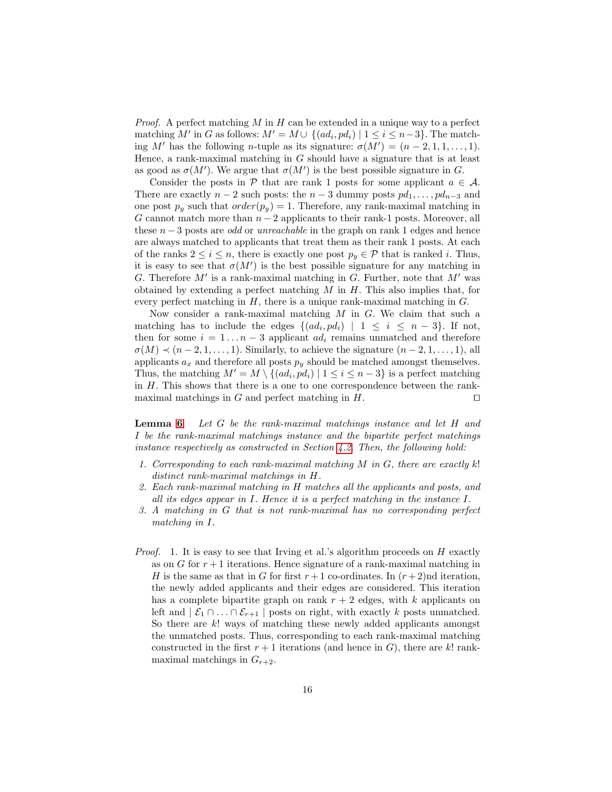*Proof.* A perfect matching  $M$  in  $H$  can be extended in a unique way to a perfect matching M' in G as follows:  $M' = M \cup \{(ad_i, pd_i) | 1 \le i \le n-3\}$ . The matching M' has the following n-tuple as its signature:  $\sigma(M') = (n-2, 1, 1, \ldots, 1)$ . Hence, a rank-maximal matching in  $G$  should have a signature that is at least as good as  $\sigma(M')$ . We argue that  $\sigma(M')$  is the best possible signature in G.

Consider the posts in  $P$  that are rank 1 posts for some applicant  $a \in A$ . There are exactly  $n-2$  such posts: the  $n-3$  dummy posts  $pd_1, \ldots, pd_{n-3}$  and one post  $p_y$  such that  $order(p_y) = 1$ . Therefore, any rank-maximal matching in G cannot match more than  $n-2$  applicants to their rank-1 posts. Moreover, all these  $n-3$  posts are *odd* or *unreachable* in the graph on rank 1 edges and hence are always matched to applicants that treat them as their rank 1 posts. At each of the ranks  $2 \leq i \leq n$ , there is exactly one post  $p_y \in \mathcal{P}$  that is ranked i. Thus, it is easy to see that  $\sigma(M')$  is the best possible signature for any matching in G. Therefore  $M'$  is a rank-maximal matching in G. Further, note that  $M'$  was obtained by extending a perfect matching  $M$  in  $H$ . This also implies that, for every perfect matching in  $H$ , there is a unique rank-maximal matching in  $G$ .

Now consider a rank-maximal matching  $M$  in  $G$ . We claim that such a matching has to include the edges  $\{(ad_i, pd_i) \mid 1 \leq i \leq n-3\}$ . If not, then for some  $i = 1 \dots n-3$  applicant  $ad_i$  remains unmatched and therefore  $\sigma(M) \prec (n-2,1,\ldots,1)$ . Similarly, to achieve the signature  $(n-2,1,\ldots,1)$ , all applicants  $a_x$  and therefore all posts  $p_y$  should be matched amongst themselves. Thus, the matching  $M' = M \setminus \{(ad_i, pd_i) | 1 \le i \le n-3\}$  is a perfect matching in H. This shows that there is a one to one correspondence between the rankmaximal matchings in G and perfect matching in H. □

Lemma [6](#page-9-0) Let G be the rank-maximal matchings instance and let H and I be the rank-maximal matchings instance and the bipartite perfect matchings instance respectively as constructed in Section  $4.2$ . Then, the following hold:

- 1. Corresponding to each rank-maximal matching  $M$  in  $G$ , there are exactly k! distinct rank-maximal matchings in H.
- 2. Each rank-maximal matching in H matches all the applicants and posts, and all its edges appear in I. Hence it is a perfect matching in the instance I.
- 3. A matching in G that is not rank-maximal has no corresponding perfect matching in I.
- *Proof.* 1. It is easy to see that Irving et al.'s algorithm proceeds on  $H$  exactly as on G for  $r+1$  iterations. Hence signature of a rank-maximal matching in H is the same as that in G for first  $r+1$  co-ordinates. In  $(r+2)$ nd iteration, the newly added applicants and their edges are considered. This iteration has a complete bipartite graph on rank  $r + 2$  edges, with k applicants on left and  $\mathcal{E}_1 \cap \ldots \cap \mathcal{E}_{r+1}$  | posts on right, with exactly k posts unmatched. So there are  $k!$  ways of matching these newly added applicants amongst the unmatched posts. Thus, corresponding to each rank-maximal matching constructed in the first  $r + 1$  iterations (and hence in G), there are k! rankmaximal matchings in  $G_{r+2}$ .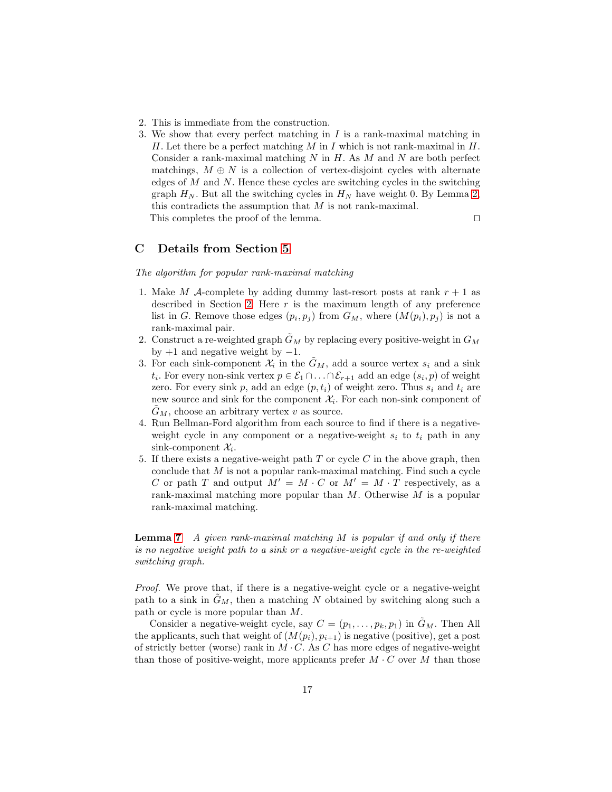- 2. This is immediate from the construction.
- 3. We show that every perfect matching in  $I$  is a rank-maximal matching in H. Let there be a perfect matching M in I which is not rank-maximal in  $H$ . Consider a rank-maximal matching  $N$  in  $H$ . As  $M$  and  $N$  are both perfect matchings,  $M \oplus N$  is a collection of vertex-disjoint cycles with alternate edges of  $M$  and  $N$ . Hence these cycles are switching cycles in the switching graph  $H_N$ . But all the switching cycles in  $H_N$  have weight 0. By Lemma [2,](#page-5-2) this contradicts the assumption that  $M$  is not rank-maximal. This completes the proof of the lemma. □

# <span id="page-16-0"></span>C Details from Section [5](#page-9-1)

#### The algorithm for popular rank-maximal matching

- 1. Make M  $\mathcal A$ -complete by adding dummy last-resort posts at rank  $r+1$  as described in Section [2.](#page-2-2) Here  $r$  is the maximum length of any preference list in G. Remove those edges  $(p_i, p_j)$  from  $G_M$ , where  $(M(p_i), p_j)$  is not a rank-maximal pair.
- 2. Construct a re-weighted graph  $\tilde{G}_M$  by replacing every positive-weight in  $G_M$ by  $+1$  and negative weight by  $-1$ .
- 3. For each sink-component  $\mathcal{X}_i$  in the  $\tilde{G}_M$ , add a source vertex  $s_i$  and a sink  $t_i$ . For every non-sink vertex  $p \in \mathcal{E}_1 \cap \ldots \cap \mathcal{E}_{r+1}$  add an edge  $(s_i, p)$  of weight zero. For every sink p, add an edge  $(p, t_i)$  of weight zero. Thus  $s_i$  and  $t_i$  are new source and sink for the component  $\mathcal{X}_i$ . For each non-sink component of  $G_M$ , choose an arbitrary vertex v as source.
- 4. Run Bellman-Ford algorithm from each source to find if there is a negativeweight cycle in any component or a negative-weight  $s_i$  to  $t_i$  path in any  $\sin k$ -component  $\mathcal{X}_i$ .
- 5. If there exists a negative-weight path  $T$  or cycle  $C$  in the above graph, then conclude that  $M$  is not a popular rank-maximal matching. Find such a cycle C or path T and output  $M' = M \cdot C$  or  $M' = M \cdot T$  respectively, as a rank-maximal matching more popular than  $M$ . Otherwise  $M$  is a popular rank-maximal matching.

**Lemma [7](#page-10-11)** A given rank-maximal matching  $M$  is popular if and only if there is no negative weight path to a sink or a negative-weight cycle in the re-weighted switching graph.

Proof. We prove that, if there is a negative-weight cycle or a negative-weight path to a sink in  $\tilde{G}_M$ , then a matching N obtained by switching along such a path or cycle is more popular than M.

Consider a negative-weight cycle, say  $C = (p_1, \ldots, p_k, p_1)$  in  $G_M$ . Then All the applicants, such that weight of  $(M(p_i), p_{i+1})$  is negative (positive), get a post of strictly better (worse) rank in  $M \cdot C$ . As C has more edges of negative-weight than those of positive-weight, more applicants prefer  $M \cdot C$  over M than those